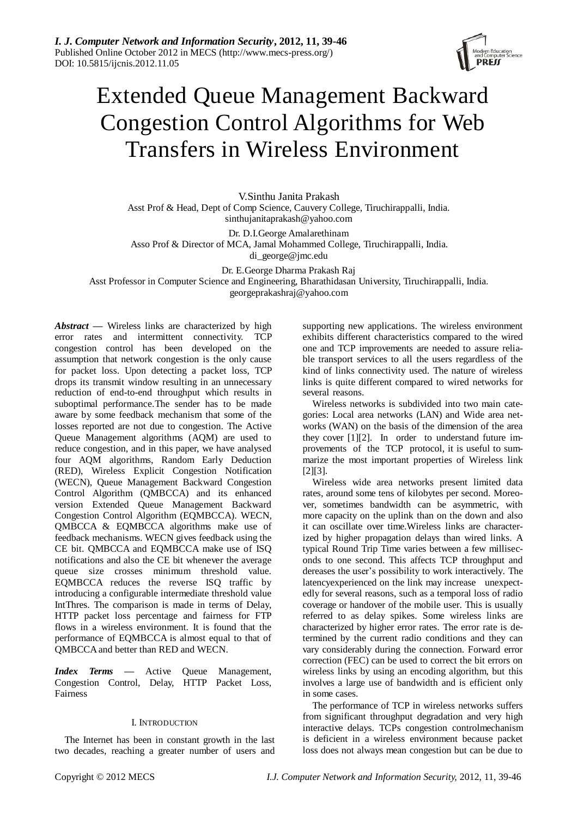

# Extended Queue Management Backward Congestion Control Algorithms for Web Transfers in Wireless Environment

V.Sinthu Janita Prakash Asst Prof & Head, Dept of Comp Science, Cauvery College, Tiruchirappalli, India. sinthujanitaprakash@yahoo.com

Dr. D.I.George Amalarethinam

Asso Prof & Director of MCA, Jamal Mohammed College, Tiruchirappalli, India.

di\_george@jmc.edu

Dr. E.George Dharma Prakash Raj

Asst Professor in Computer Science and Engineering, Bharathidasan University, Tiruchirappalli, India.

georgeprakashraj@yahoo.com

*Abstract* **—** Wireless links are characterized by high error rates and intermittent connectivity. TCP congestion control has been developed on the assumption that network congestion is the only cause for packet loss. Upon detecting a packet loss, TCP drops its transmit window resulting in an unnecessary reduction of end-to-end throughput which results in suboptimal performance.The sender has to be made aware by some feedback mechanism that some of the losses reported are not due to congestion. The Active Queue Management algorithms (AQM) are used to reduce congestion, and in this paper, we have analysed four AQM algorithms, Random Early Deduction (RED), Wireless Explicit Congestion Notification (WECN), Queue Management Backward Congestion Control Algorithm (QMBCCA) and its enhanced version Extended Queue Management Backward Congestion Control Algorithm (EQMBCCA). WECN, QMBCCA & EQMBCCA algorithms make use of feedback mechanisms. WECN gives feedback using the CE bit. QMBCCA and EQMBCCA make use of ISQ notifications and also the CE bit whenever the average queue size crosses minimum threshold value. EQMBCCA reduces the reverse ISQ traffic by introducing a configurable intermediate threshold value IntThres. The comparison is made in terms of Delay, HTTP packet loss percentage and fairness for FTP flows in a wireless environment. It is found that the performance of EQMBCCA is almost equal to that of QMBCCAand better than RED and WECN.

*Index Terms* **—** Active Queue Management, Congestion Control, Delay, HTTP Packet Loss, Fairness

# I. INTRODUCTION

The Internet has been in constant growth in the last two decades, reaching a greater number of users and supporting new applications. The wireless environment exhibits different characteristics compared to the wired one and TCP improvements are needed to assure reliable transport services to all the users regardless of the kind of links connectivity used. The nature of wireless links is quite different compared to wired networks for several reasons.

Wireless networks is subdivided into two main categories: Local area networks (LAN) and Wide area networks (WAN) on the basis of the dimension of the area they cover [1][2]. In order to understand future improvements of the TCP protocol, it is useful to summarize the most important properties of Wireless link [2][3].

Wireless wide area networks present limited data rates, around some tens of kilobytes per second. Moreover, sometimes bandwidth can be asymmetric, with more capacity on the uplink than on the down and also it can oscillate over time.Wireless links are characterized by higher propagation delays than wired links. A typical Round Trip Time varies between a few milliseconds to one second. This affects TCP throughput and dereases the user's possibility to work interactively. The latencyexperienced on the link may increase unexpectedly for several reasons, such as a temporal loss of radio coverage or handover of the mobile user. This is usually referred to as delay spikes. Some wireless links are characterized by higher error rates. The error rate is determined by the current radio conditions and they can vary considerably during the connection. Forward error correction (FEC) can be used to correct the bit errors on wireless links by using an encoding algorithm, but this involves a large use of bandwidth and is efficient only in some cases.

The performance of TCP in wireless networks suffers from significant throughput degradation and very high interactive delays. TCPs congestion controlmechanism is deficient in a wireless environment because packet loss does not always mean congestion but can be due to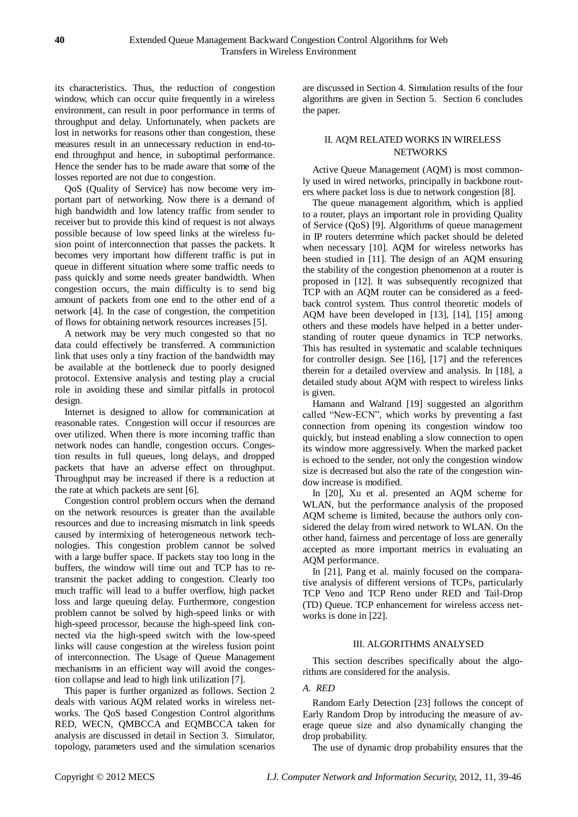its characteristics. Thus, the reduction of congestion window, which can occur quite frequently in a wireless environment, can result in poor performance in terms of throughput and delay. Unfortunately, when packets are lost in networks for reasons other than congestion, these measures result in an unnecessary reduction in end-toend throughput and hence, in suboptimal performance. Hence the sender has to be made aware that some of the losses reported are not due to congestion.

QoS (Quality of Service) has now become very important part of networking. Now there is a demand of high bandwidth and low latency traffic from sender to receiver but to provide this kind of request is not always possible because of low speed links at the wireless fusion point of interconnection that passes the packets. It becomes very important how different traffic is put in queue in different situation where some traffic needs to pass quickly and some needs greater bandwidth. When congestion occurs, the main difficulty is to send big amount of packets from one end to the other end of a network [4]. In the case of congestion, the competition of flows for obtaining network resources increases [5].

A network may be very much congested so that no data could effectively be transferred. A communiction link that uses only a tiny fraction of the bandwidth may be available at the bottleneck due to poorly designed protocol. Extensive analysis and testing play a crucial role in avoiding these and similar pitfalls in protocol design.

Internet is designed to allow for communication at reasonable rates. Congestion will occur if resources are over utilized. When there is more incoming traffic than network nodes can handle, congestion occurs. Congestion results in full queues, long delays, and dropped packets that have an adverse effect on throughput. Throughput may be increased if there is a reduction at the rate at which packets are sent [6].

Congestion control problem occurs when the demand on the network resources is greater than the available resources and due to increasing mismatch in link speeds caused by intermixing of heterogeneous network technologies. This congestion problem cannot be solved with a large buffer space. If packets stay too long in the buffers, the window will time out and TCP has to retransmit the packet adding to congestion. Clearly too much traffic will lead to a buffer overflow, high packet loss and large queuing delay. Furthermore, congestion problem cannot be solved by high-speed links or with high-speed processor, because the high-speed link connected via the high-speed switch with the low-speed links will cause congestion at the wireless fusion point of interconnection. The Usage of Queue Management mechanisms in an efficient way will avoid the congestion collapse and lead to high link utilization [7].

This paper is further organized as follows. Section 2 deals with various AQM related works in wireless networks. The QoS based Congestion Control algorithms RED, WECN, QMBCCA and EQMBCCA taken for analysis are discussed in detail in Section 3. Simulator, topology, parameters used and the simulation scenarios are discussed in Section 4. Simulation results of the four algorithms are given in Section 5. Section 6 concludes the paper.

# II. AQM RELATED WORKS IN WIRELESS NETWORKS

Active Queue Management (AQM) is most commonly used in wired networks, principally in backbone routers where packet loss is due to network congestion [8].

The queue management algorithm, which is applied to a router, plays an important role in providing Quality of Service (QoS) [9]. Algorithms of queue management in IP routers determine which packet should be deleted when necessary [10]. AQM for wireless networks has been studied in [11]. The design of an AQM ensuring the stability of the congestion phenomenon at a router is proposed in [12]. It was subsequently recognized that TCP with an AQM router can be considered as a feedback control system. Thus control theoretic models of AQM have been developed in [13], [14], [15] among others and these models have helped in a better understanding of router queue dynamics in TCP networks. This has resulted in systematic and scalable techniques for controller design. See [16], [17] and the references therein for a detailed overview and analysis. In [18], a detailed study about AQM with respect to wireless links is given.

Hamann and Walrand [19] suggested an algorithm called "New-ECN", which works by preventing a fast connection from opening its congestion window too quickly, but instead enabling a slow connection to open its window more aggressively. When the marked packet is echoed to the sender, not only the congestion window size is decreased but also the rate of the congestion window increase is modified.

In [20], Xu et al. presented an AQM scheme for WLAN, but the performance analysis of the proposed AQM scheme is limited, because the authors only considered the delay from wired network to WLAN. On the other hand, fairness and percentage of loss are generally accepted as more important metrics in evaluating an AQM performance.

In [21], Pang et al. mainly focused on the comparative analysis of different versions of TCPs, particularly TCP Veno and TCP Reno under RED and Tail-Drop (TD) Queue. TCP enhancement for wireless access networks is done in [22].

# III. ALGORITHMS ANALYSED

This section describes specifically about the algorithms are considered for the analysis.

# *A. RED*

Random Early Detection [23] follows the concept of Early Random Drop by introducing the measure of average queue size and also dynamically changing the drop probability.

The use of dynamic drop probability ensures that the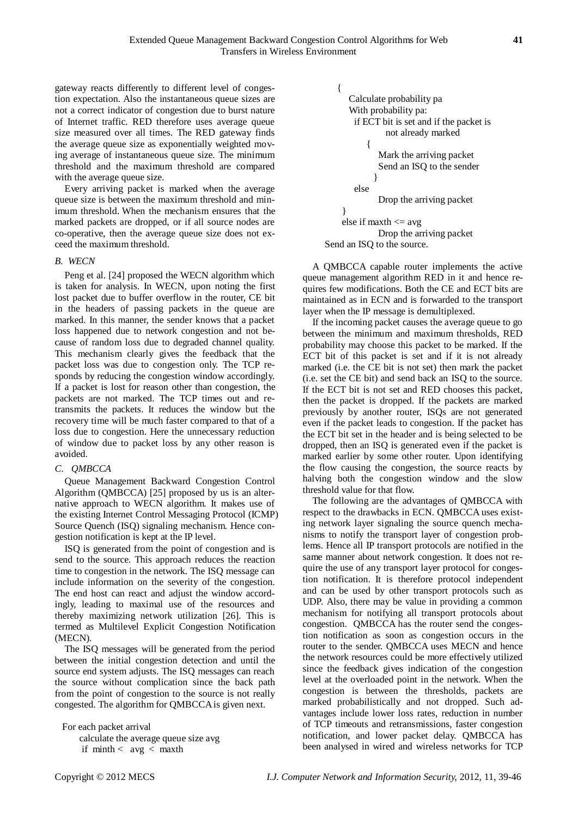gateway reacts differently to different level of congestion expectation. Also the instantaneous queue sizes are not a correct indicator of congestion due to burst nature of Internet traffic. RED therefore uses average queue size measured over all times. The RED gateway finds the average queue size as exponentially weighted moving average of instantaneous queue size. The minimum threshold and the maximum threshold are compared with the average queue size.

Every arriving packet is marked when the average queue size is between the maximum threshold and minimum threshold. When the mechanism ensures that the marked packets are dropped, or if all source nodes are co-operative, then the average queue size does not exceed the maximum threshold.

# *B. WECN*

Peng et al. [24] proposed the WECN algorithm which is taken for analysis. In WECN, upon noting the first lost packet due to buffer overflow in the router, CE bit in the headers of passing packets in the queue are marked. In this manner, the sender knows that a packet loss happened due to network congestion and not because of random loss due to degraded channel quality. This mechanism clearly gives the feedback that the packet loss was due to congestion only. The TCP responds by reducing the congestion window accordingly. If a packet is lost for reason other than congestion, the packets are not marked. The TCP times out and retransmits the packets. It reduces the window but the recovery time will be much faster compared to that of a loss due to congestion. Here the unnecessary reduction of window due to packet loss by any other reason is avoided.

#### *C. QMBCCA*

Queue Management Backward Congestion Control Algorithm (QMBCCA) [25] proposed by us is an alternative approach to WECN algorithm. It makes use of the existing Internet Control Messaging Protocol (ICMP) Source Quench (ISQ) signaling mechanism. Hence congestion notification is kept at the IP level.

ISQ is generated from the point of congestion and is send to the source. This approach reduces the reaction time to congestion in the network. The ISQ message can include information on the severity of the congestion. The end host can react and adjust the window accordingly, leading to maximal use of the resources and thereby maximizing network utilization [26]. This is termed as Multilevel Explicit Congestion Notification (MECN).

The ISQ messages will be generated from the period between the initial congestion detection and until the source end system adjusts. The ISQ messages can reach the source without complication since the back path from the point of congestion to the source is not really congested. The algorithm for QMBCCA is given next.

 For each packet arrival calculate the average queue size avg if  $minth < avg < mark$ 

```
\{ Calculate probability pa
           With probability pa:
            if ECT bit is set and if the packet is 
                   not already marked
\{ Mark the arriving packet 
                 Send an ISQ to the sender
 }
            else
                 Drop the arriving packet
 }
        else if maxth \leq avg
                 Drop the arriving packet
```
Send an ISQ to the source.

A QMBCCA capable router implements the active queue management algorithm RED in it and hence requires few modifications. Both the CE and ECT bits are maintained as in ECN and is forwarded to the transport layer when the IP message is demultiplexed.

If the incoming packet causes the average queue to go between the minimum and maximum thresholds, RED probability may choose this packet to be marked. If the ECT bit of this packet is set and if it is not already marked (i.e. the CE bit is not set) then mark the packet (i.e. set the CE bit) and send back an ISQ to the source. If the ECT bit is not set and RED chooses this packet, then the packet is dropped. If the packets are marked previously by another router, ISQs are not generated even if the packet leads to congestion. If the packet has the ECT bit set in the header and is being selected to be dropped, then an ISQ is generated even if the packet is marked earlier by some other router. Upon identifying the flow causing the congestion, the source reacts by halving both the congestion window and the slow threshold value for that flow.

The following are the advantages of QMBCCA with respect to the drawbacks in ECN. QMBCCA uses existing network layer signaling the source quench mechanisms to notify the transport layer of congestion problems. Hence all IP transport protocols are notified in the same manner about network congestion. It does not require the use of any transport layer protocol for congestion notification. It is therefore protocol independent and can be used by other transport protocols such as UDP. Also, there may be value in providing a common mechanism for notifying all transport protocols about congestion. QMBCCA has the router send the congestion notification as soon as congestion occurs in the router to the sender. QMBCCA uses MECN and hence the network resources could be more effectively utilized since the feedback gives indication of the congestion level at the overloaded point in the network. When the congestion is between the thresholds, packets are marked probabilistically and not dropped. Such advantages include lower loss rates, reduction in number of TCP timeouts and retransmissions, faster congestion notification, and lower packet delay. QMBCCA has been analysed in wired and wireless networks for TCP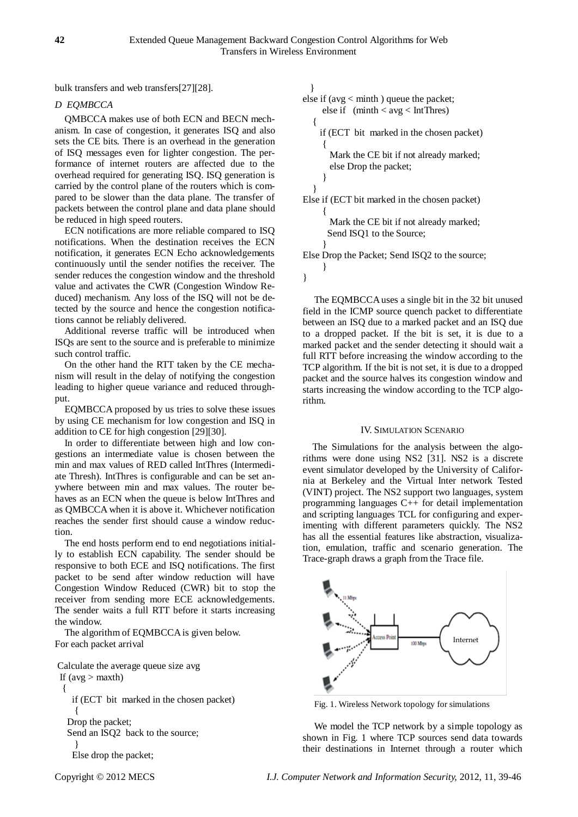bulk transfers and web transfers[27][28].

# *D EQMBCCA*

QMBCCA makes use of both ECN and BECN mechanism. In case of congestion, it generates ISQ and also sets the CE bits. There is an overhead in the generation of ISQ messages even for lighter congestion. The performance of internet routers are affected due to the overhead required for generating ISQ. ISQ generation is carried by the control plane of the routers which is compared to be slower than the data plane. The transfer of packets between the control plane and data plane should be reduced in high speed routers.

ECN notifications are more reliable compared to ISQ notifications. When the destination receives the ECN notification, it generates ECN Echo acknowledgements continuously until the sender notifies the receiver. The sender reduces the congestion window and the threshold value and activates the CWR (Congestion Window Reduced) mechanism. Any loss of the ISQ will not be detected by the source and hence the congestion notifications cannot be reliably delivered.

Additional reverse traffic will be introduced when ISQs are sent to the source and is preferable to minimize such control traffic.

On the other hand the RTT taken by the CE mechanism will result in the delay of notifying the congestion leading to higher queue variance and reduced throughput.

EQMBCCA proposed by us tries to solve these issues by using CE mechanism for low congestion and ISQ in addition to CE for high congestion [29][30].

In order to differentiate between high and low congestions an intermediate value is chosen between the min and max values of RED called IntThres (Intermediate Thresh). IntThres is configurable and can be set anywhere between min and max values. The router behaves as an ECN when the queue is below IntThres and as QMBCCA when it is above it. Whichever notification reaches the sender first should cause a window reduction.

The end hosts perform end to end negotiations initially to establish ECN capability. The sender should be responsive to both ECE and ISQ notifications. The first packet to be send after window reduction will have Congestion Window Reduced (CWR) bit to stop the receiver from sending more ECE acknowledgements. The sender waits a full RTT before it starts increasing the window.

The algorithm of EQMBCCA is given below. For each packet arrival

Calculate the average queue size avg

If  $(avg > maxth)$  { if (ECT bit marked in the chosen packet)  $\left\{\begin{array}{ccc} \end{array}\right\}$ 

 Drop the packet; Send an ISQ2 back to the source;

 } Else drop the packet;

 } else if (avg < minth ) queue the packet; else if (minth < avg < IntThres) { if (ECT bit marked in the chosen packet)  $\{$  Mark the CE bit if not already marked; else Drop the packet; } } Else if (ECT bit marked in the chosen packet)  $\overline{\mathcal{L}}$  Mark the CE bit if not already marked; Send ISQ1 to the Source; } Else Drop the Packet; Send ISQ2 to the source; }

}

The EQMBCCA uses a single bit in the 32 bit unused field in the ICMP source quench packet to differentiate between an ISQ due to a marked packet and an ISQ due to a dropped packet. If the bit is set, it is due to a marked packet and the sender detecting it should wait a full RTT before increasing the window according to the TCP algorithm. If the bit is not set, it is due to a dropped packet and the source halves its congestion window and starts increasing the window according to the TCP algorithm.

# IV. SIMULATION SCENARIO

The Simulations for the analysis between the algorithms were done using NS2 [31]. NS2 is a discrete event simulator developed by the University of California at Berkeley and the Virtual Inter network Tested (VINT) project. The NS2 support two languages, system programming languages C++ for detail implementation and scripting languages TCL for configuring and experimenting with different parameters quickly. The NS2 has all the essential features like abstraction, visualization, emulation, traffic and scenario generation. The Trace-graph draws a graph from the Trace file.



Fig. 1. Wireless Network topology for simulations

We model the TCP network by a simple topology as shown in Fig. 1 where TCP sources send data towards their destinations in Internet through a router which

Copyright © 2012 MECS *I.J. Computer Network and Information Security,* 2012, 11, 39-46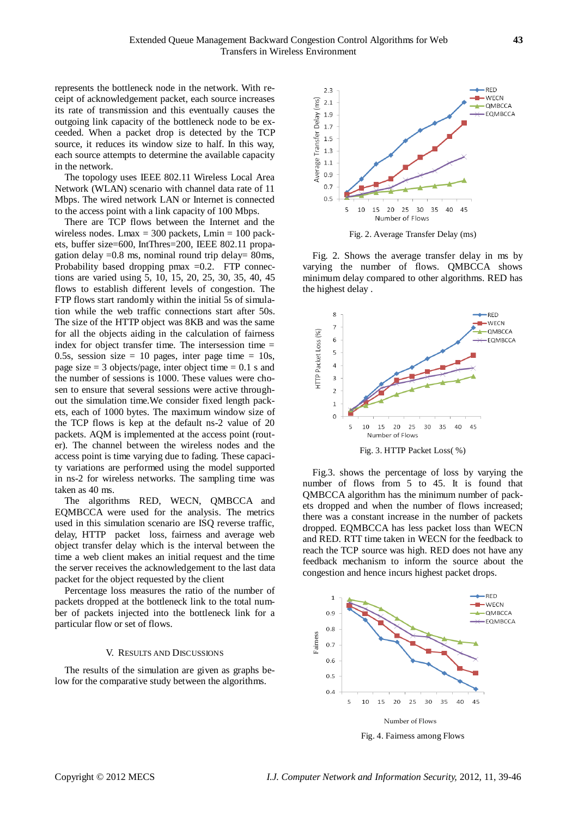represents the bottleneck node in the network. With receipt of acknowledgement packet, each source increases its rate of transmission and this eventually causes the outgoing link capacity of the bottleneck node to be exceeded. When a packet drop is detected by the TCP source, it reduces its window size to half. In this way, each source attempts to determine the available capacity in the network.

The topology uses IEEE 802.11 Wireless Local Area Network (WLAN) scenario with channel data rate of 11 Mbps. The wired network LAN or Internet is connected to the access point with a link capacity of 100 Mbps.

There are TCP flows between the Internet and the wireless nodes. Lmax  $= 300$  packets, Lmin  $= 100$  packets, buffer size=600, IntThres=200, IEEE 802.11 propagation delay  $=0.8$  ms, nominal round trip delay $= 80$ ms, Probability based dropping pmax  $=0.2$ . FTP connections are varied using 5, 10, 15, 20, 25, 30, 35, 40, 45 flows to establish different levels of congestion. The FTP flows start randomly within the initial 5s of simulation while the web traffic connections start after 50s. The size of the HTTP object was 8KB and was the same for all the objects aiding in the calculation of fairness index for object transfer time. The intersession time = 0.5s, session size = 10 pages, inter page time =  $10s$ , page size  $= 3$  objects/page, inter object time  $= 0.1$  s and the number of sessions is 1000. These values were chosen to ensure that several sessions were active throughout the simulation time.We consider fixed length packets, each of 1000 bytes. The maximum window size of the TCP flows is kep at the default ns-2 value of 20 packets. AQM is implemented at the access point (router). The channel between the wireless nodes and the access point is time varying due to fading. These capacity variations are performed using the model supported in ns-2 for wireless networks. The sampling time was taken as 40 ms.

The algorithms RED, WECN, QMBCCA and EQMBCCA were used for the analysis. The metrics used in this simulation scenario are ISQ reverse traffic, delay, HTTP packet loss, fairness and average web object transfer delay which is the interval between the time a web client makes an initial request and the time the server receives the acknowledgement to the last data packet for the object requested by the client

Percentage loss measures the ratio of the number of packets dropped at the bottleneck link to the total number of packets injected into the bottleneck link for a particular flow or set of flows.

#### V. RESULTS AND DISCUSSIONS

The results of the simulation are given as graphs below for the comparative study between the algorithms.



Fig. 2. Average Transfer Delay (ms)

Fig. 2. Shows the average transfer delay in ms by varying the number of flows. QMBCCA shows minimum delay compared to other algorithms. RED has the highest delay .



Fig.3. shows the percentage of loss by varying the number of flows from 5 to 45. It is found that QMBCCA algorithm has the minimum number of packets dropped and when the number of flows increased; there was a constant increase in the number of packets dropped. EQMBCCA has less packet loss than WECN and RED. RTT time taken in WECN for the feedback to reach the TCP source was high. RED does not have any feedback mechanism to inform the source about the congestion and hence incurs highest packet drops.



Fig. 4. Fairness among Flows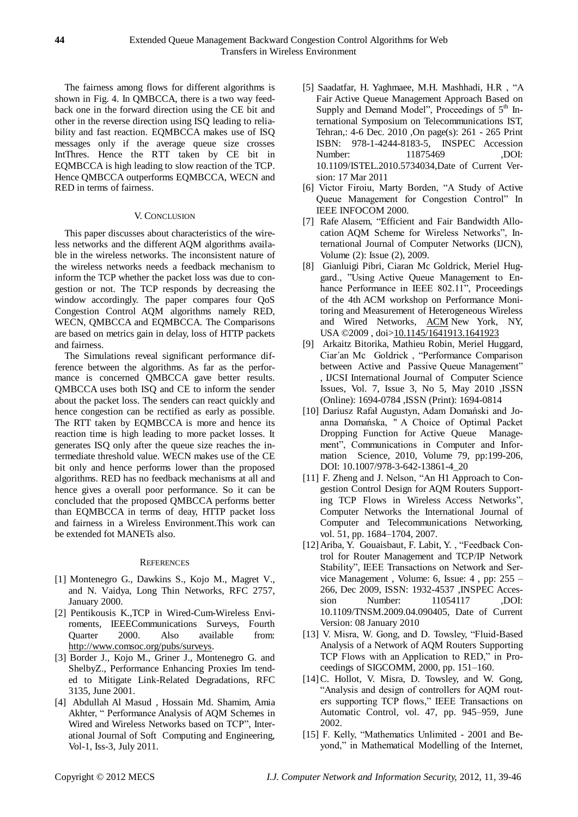The fairness among flows for different algorithms is shown in Fig. 4. In QMBCCA, there is a two way feedback one in the forward direction using the CE bit and other in the reverse direction using ISQ leading to reliability and fast reaction. EQMBCCA makes use of ISQ messages only if the average queue size crosses IntThres. Hence the RTT taken by CE bit in EQMBCCA is high leading to slow reaction of the TCP. Hence QMBCCA outperforms EQMBCCA, WECN and RED in terms of fairness.

# V. CONCLUSION

This paper discusses about characteristics of the wireless networks and the different AQM algorithms available in the wireless networks. The inconsistent nature of the wireless networks needs a feedback mechanism to inform the TCP whether the packet loss was due to congestion or not. The TCP responds by decreasing the window accordingly. The paper compares four QoS Congestion Control AQM algorithms namely RED, WECN, QMBCCA and EQMBCCA. The Comparisons are based on metrics gain in delay, loss of HTTP packets and fairness.

The Simulations reveal significant performance difference between the algorithms. As far as the performance is concerned QMBCCA gave better results. QMBCCA uses both ISQ and CE to inform the sender about the packet loss. The senders can react quickly and hence congestion can be rectified as early as possible. The RTT taken by EQMBCCA is more and hence its reaction time is high leading to more packet losses. It generates ISQ only after the queue size reaches the intermediate threshold value. WECN makes use of the CE bit only and hence performs lower than the proposed algorithms. RED has no feedback mechanisms at all and hence gives a overall poor performance. So it can be concluded that the proposed QMBCCA performs better than EQMBCCA in terms of deay, HTTP packet loss and fairness in a Wireless Environment.This work can be extended fot MANETs also.

# **REFERENCES**

- [1] Montenegro G., Dawkins S., Kojo M., Magret V., and N. Vaidya, Long Thin Networks, RFC 2757, January 2000.
- [2] Pentikousis K.,TCP in Wired-Cum-Wireless Enviroments, IEEECommunications Surveys, Fourth Quarter 2000. Also available from: [http://www.comsoc.org/pubs/surveys.](http://www.comsoc.org/pubs/surveys)
- [3] Border J., Kojo M., Griner J., Montenegro G. and ShelbyZ., Performance Enhancing Proxies Im tended to Mitigate Link-Related Degradations, RFC 3135, June 2001.
- [4] Abdullah Al Masud , Hossain Md. Shamim, Amia Akhter, " Performance Analysis of AQM Schemes in Wired and Wireless Networks based on TCP", Interational Journal of Soft Computing and Engineering, Vol-1, Iss-3, July 2011.
- [5] Saadatfar, H. Yaghmaee, M.H. Mashhadi, H.R , "A Fair Active Queue Management Approach Based on Supply and Demand Model", Proceedings of  $5<sup>th</sup>$  International Symposium on Telecommunications IST, Tehran,: 4-6 Dec. 2010 ,On page(s): 261 - 265 Print ISBN: 978-1-4244-8183-5, INSPEC Accession Number: 11875469 ,DOI: 10.1109/ISTEL.2010.5734034,Date of Current Version: 17 Mar 2011
- [6] Victor Firoiu, Marty Borden, "A Study of Active Queue Management for Congestion Control" In IEEE INFOCOM 2000.
- [7] Rafe Alasem, "Efficient and Fair Bandwidth Allocation AQM Scheme for Wireless Networks", International Journal of Computer Networks (IJCN), Volume (2): Issue (2), 2009.
- [8] Gianluigi Pibri, Ciaran Mc Goldrick, Meriel Huggard., "Using Active Queue Management to Enhance Performance in IEEE 802.11", Proceedings of the 4th ACM workshop on Performance Monitoring and Measurement of Heterogeneous Wireless and Wired Networks, **[ACM](http://www.acm.org/publications)** New York, NY, USA ©2009 , doi[>10.1145/1641913.1641923](http://dx.doi.org/10.1145/1641913.1641923)
- [9] Arkaitz Bitorika, Mathieu Robin, Meriel Huggard, Ciar´an Mc Goldrick , "Performance Comparison between Active and Passive Queue Management" , IJCSI International Journal of Computer Science Issues, Vol. 7, Issue 3, No 5, May 2010 ,ISSN (Online): 1694-0784 ,ISSN (Print): 1694-0814
- [10] Dariusz Rafał Augustyn, Adam Domański and Joanna Domańska, " A Choice of Optimal Packet Dropping Function for Active Queue Management", Communications in Computer and Information Science, 2010, Volume 79, pp:199-206, DOI: 10.1007/978-3-642-13861-4\_20
- [11] F. Zheng and J. Nelson, "An H1 Approach to Congestion Control Design for AQM Routers Supporting TCP Flows in Wireless Access Networks", Computer Networks the International Journal of Computer and Telecommunications Networking, vol. 51, pp. 1684–1704, 2007.
- [12]Ariba, Y. Gouaisbaut, F. Labit, Y. , "Feedback Control for Router Management and TCP/IP Network Stability", IEEE Transactions on Network and Service Management , Volume: 6, Issue: 4 , pp: 255 – 266, Dec 2009, ISSN: 1932-4537 ,INSPEC Accession Number: 11054117 ,DOI: 10.1109/TNSM.2009.04.090405, Date of Current Version: 08 January 2010
- [13] V. Misra, W. Gong, and D. Towsley, "Fluid-Based" Analysis of a Network of AQM Routers Supporting TCP Flows with an Application to RED," in Proceedings of SIGCOMM, 2000, pp. 151–160.
- [14]C. Hollot, V. Misra, D. Towsley, and W. Gong, "Analysis and design of controllers for AQM routers supporting TCP flows," IEEE Transactions on Automatic Control, vol. 47, pp. 945–959, June 2002.
- [15] F. Kelly, "Mathematics Unlimited 2001 and Beyond," in Mathematical Modelling of the Internet,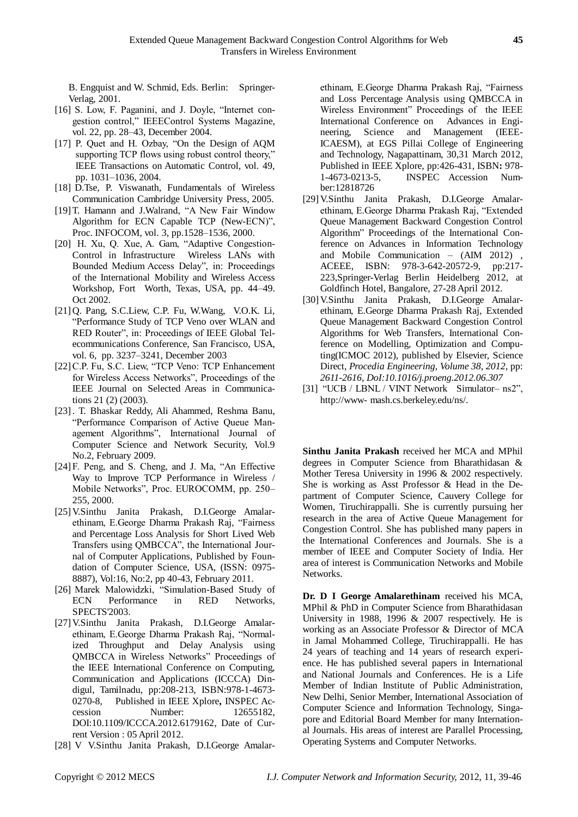B. Engquist and W. Schmid, Eds. Berlin: Springer-Verlag, 2001.

- [16] S. Low, F. Paganini, and J. Doyle, "Internet congestion control," IEEEControl Systems Magazine, vol. 22, pp. 28–43, December 2004.
- [17] P. Quet and H. Ozbay, "On the Design of AQM supporting TCP flows using robust control theory," IEEE Transactions on Automatic Control, vol. 49, pp. 1031–1036, 2004.
- [18] D.Tse, P. Viswanath, Fundamentals of Wireless Communication Cambridge University Press, 2005.
- [19]T. Hamann and J.Walrand, "A New Fair Window Algorithm for ECN Capable TCP (New-ECN)", Proc. INFOCOM, vol. 3, pp.1528–1536, 2000.
- [20] H. Xu, Q. Xue, A. Gam, "Adaptive Congestion-Control in Infrastructure Wireless LANs with Bounded Medium Access Delay", in: Proceedings of the International Mobility and Wireless Access Workshop, Fort Worth, Texas, USA, pp. 44–49. Oct 2002.
- [21]Q. Pang, S.C.Liew, C.P. Fu, W.Wang, V.O.K. Li, "Performance Study of TCP Veno over WLAN and RED Router", in: Proceedings of IEEE Global Telecommunications Conference, San Francisco, USA, vol. 6, pp. 3237–3241, December 2003
- [22]C.P. Fu, S.C. Liew, "TCP Veno: TCP Enhancement for Wireless Access Networks", Proceedings of the IEEE Journal on Selected Areas in Communications 21 (2) (2003).
- [23]. T. Bhaskar Reddy, Ali Ahammed, Reshma Banu, "Performance Comparison of Active Queue Management Algorithms", International Journal of Computer Science and Network Security, Vol.9 No.2, February 2009.
- [24]F. Peng, and S. Cheng, and J. Ma, "An Effective Way to Improve TCP Performance in Wireless / Mobile Networks", Proc. EUROCOMM, pp. 250– 255, 2000.
- [25]V.Sinthu Janita Prakash, D.I.George Amalarethinam, E.George Dharma Prakash Raj, "Fairness and Percentage Loss Analysis for Short Lived Web Transfers using QMBCCA", the International Journal of Computer Applications, Published by Foundation of Computer Science, USA, (ISSN: 0975- 8887), Vol:16, No:2, pp 40-43, February 2011.
- [26] Marek Malowidzki, "Simulation-Based Study of ECN Performance in RED Networks, SPECTS'2003.
- [27]V.Sinthu Janita Prakash, D.I.George Amalarethinam, E.George Dharma Prakash Raj, "Normalized Throughput and Delay Analysis using QMBCCA in Wireless Networks" Proceedings of the IEEE International Conference on Computing, Communication and Applications (ICCCA) Dindigul, Tamilnadu, pp:208-213, ISBN:978-1-4673- 0270-8, Published in IEEE Xplore**,** INSPEC Accession Number: 12655182, DOI:10.1109/ICCCA.2012.6179162, Date of Current Version : 05 April 2012.
- [28] V V.Sinthu Janita Prakash, D.I.George Amalar-

ethinam, E.George Dharma Prakash Raj, "Fairness and Loss Percentage Analysis using QMBCCA in Wireless Environment" Proceedings of the IEEE International Conference on Advances in Engineering, Science and Management (IEEE-ICAESM), at EGS Pillai College of Engineering and Technology, Nagapattinam, 30,31 March 2012, Published in IEEE Xplore, pp:426-431, ISBN**:** 978- 1-4673-0213-5, INSPEC Accession Number:12818726

- [29]V.Sinthu Janita Prakash, D.I.George Amalarethinam, E.George Dharma Prakash Raj, "Extended Queue Management Backward Congestion Control Algorithm" Proceedings of the International Conference on Advances in Information Technology and Mobile Communication – (AIM 2012) , ACEEE, ISBN: 978-3-642-20572-9, pp:217- 223,Springer-Verlag Berlin Heidelberg 2012, at Goldfinch Hotel, Bangalore, 27-28 April 2012.
- [30]V.Sinthu Janita Prakash, D.I.George Amalarethinam, E.George Dharma Prakash Raj, Extended Queue Management Backward Congestion Control Algorithms for Web Transfers, International Conference on Modelling, Optimization and Computing(ICMOC 2012), published by Elsevier, Science Direct, *Procedia Engineering*, *Volume 38*, *2012*, pp: *2611-2616, DoI:10.1016/j.proeng.2012.06.307*
- [31] "UCB / LBNL / VINT Network Simulator- ns2", http://www- mash.cs.berkeley.edu/ns/.

**Sinthu Janita Prakash** received her MCA and MPhil degrees in Computer Science from Bharathidasan & Mother Teresa University in 1996 & 2002 respectively. She is working as Asst Professor & Head in the Department of Computer Science, Cauvery College for Women, Tiruchirappalli. She is currently pursuing her research in the area of Active Queue Management for Congestion Control. She has published many papers in the International Conferences and Journals. She is a member of IEEE and Computer Society of India. Her area of interest is Communication Networks and Mobile Networks.

**Dr. D I George Amalarethinam** received his MCA, MPhil & PhD in Computer Science from Bharathidasan University in 1988, 1996 & 2007 respectively. He is working as an Associate Professor & Director of MCA in Jamal Mohammed College, Tiruchirappalli. He has 24 years of teaching and 14 years of research experience. He has published several papers in International and National Journals and Conferences. He is a Life Member of Indian Institute of Public Administration, New Delhi, Senior Member, International Association of Computer Science and Information Technology, Singapore and Editorial Board Member for many International Journals. His areas of interest are Parallel Processing, Operating Systems and Computer Networks.